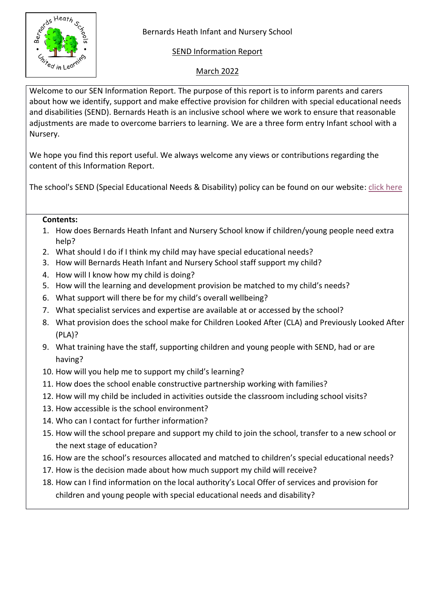

# SEND Information Report

# March 2022

Welcome to our SEN Information Report. The purpose of this report is to inform parents and carers about how we identify, support and make effective provision for children with special educational needs and disabilities (SEND). Bernards Heath is an inclusive school where we work to ensure that reasonable adjustments are made to overcome barriers to learning. We are a three form entry Infant school with a Nursery.

We hope you find this report useful. We always welcome any views or contributions regarding the content of this Information Report.

The school's SEND (Special Educational Needs & Disability) policy can be found on our website: [click here](https://bernardsheath.herts.sch.uk/policies/)

### **Contents:**

- 1. How does Bernards Heath Infant and Nursery School know if children/young people need extra help?
- 2. What should I do if I think my child may have special educational needs?
- 3. How will Bernards Heath Infant and Nursery School staff support my child?
- 4. How will I know how my child is doing?
- 5. How will the learning and development provision be matched to my child's needs?
- 6. What support will there be for my child's overall wellbeing?
- 7. What specialist services and expertise are available at or accessed by the school?
- 8. What provision does the school make for Children Looked After (CLA) and Previously Looked After (PLA)?
- 9. What training have the staff, supporting children and young people with SEND, had or are having?
- 10. How will you help me to support my child's learning?
- 11. How does the school enable constructive partnership working with families?
- 12. How will my child be included in activities outside the classroom including school visits?
- 13. How accessible is the school environment?
- 14. Who can I contact for further information?
- 15. How will the school prepare and support my child to join the school, transfer to a new school or the next stage of education?
- 16. How are the school's resources allocated and matched to children's special educational needs?
- 17. How is the decision made about how much support my child will receive?
- 18. How can I find information on the local authority's Local Offer of services and provision for children and young people with special educational needs and disability?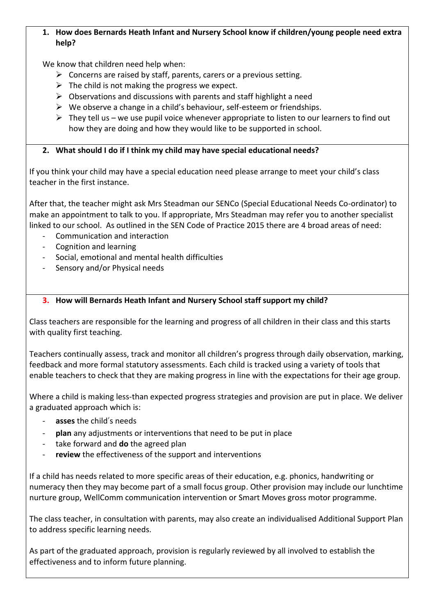### **1. How does Bernards Heath Infant and Nursery School know if children/young people need extra help?**

We know that children need help when:

- $\triangleright$  Concerns are raised by staff, parents, carers or a previous setting.
- $\triangleright$  The child is not making the progress we expect.
- $\triangleright$  Observations and discussions with parents and staff highlight a need
- $\triangleright$  We observe a change in a child's behaviour, self-esteem or friendships.
- $\triangleright$  They tell us we use pupil voice whenever appropriate to listen to our learners to find out how they are doing and how they would like to be supported in school.

# **2. What should I do if I think my child may have special educational needs?**

If you think your child may have a special education need please arrange to meet your child's class teacher in the first instance.

After that, the teacher might ask Mrs Steadman our SENCo (Special Educational Needs Co-ordinator) to make an appointment to talk to you. If appropriate, Mrs Steadman may refer you to another specialist linked to our school. As outlined in the SEN Code of Practice 2015 there are 4 broad areas of need:

- Communication and interaction
- Cognition and learning
- Social, emotional and mental health difficulties
- Sensory and/or Physical needs

# **3. How will Bernards Heath Infant and Nursery School staff support my child?**

Class teachers are responsible for the learning and progress of all children in their class and this starts with quality first teaching.

Teachers continually assess, track and monitor all children's progress through daily observation, marking, feedback and more formal statutory assessments. Each child is tracked using a variety of tools that enable teachers to check that they are making progress in line with the expectations for their age group.

Where a child is making less-than expected progress strategies and provision are put in place. We deliver a graduated approach which is:

- asses the child's needs
- **plan** any adjustments or interventions that need to be put in place
- take forward and **do** the agreed plan
- review the effectiveness of the support and interventions

If a child has needs related to more specific areas of their education, e.g. phonics, handwriting or numeracy then they may become part of a small focus group. Other provision may include our lunchtime nurture group, WellComm communication intervention or Smart Moves gross motor programme.

The class teacher, in consultation with parents, may also create an individualised Additional Support Plan to address specific learning needs.

As part of the graduated approach, provision is regularly reviewed by all involved to establish the effectiveness and to inform future planning.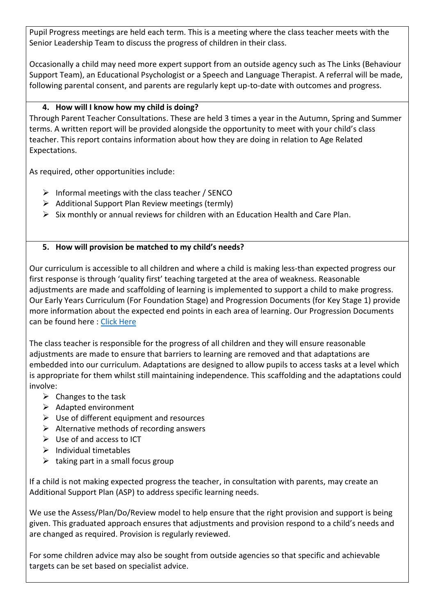Pupil Progress meetings are held each term. This is a meeting where the class teacher meets with the Senior Leadership Team to discuss the progress of children in their class.

Occasionally a child may need more expert support from an outside agency such as The Links (Behaviour Support Team), an Educational Psychologist or a Speech and Language Therapist. A referral will be made, following parental consent, and parents are regularly kept up-to-date with outcomes and progress.

# **4. How will I know how my child is doing?**

Through Parent Teacher Consultations. These are held 3 times a year in the Autumn, Spring and Summer terms. A written report will be provided alongside the opportunity to meet with your child's class teacher. This report contains information about how they are doing in relation to Age Related Expectations.

As required, other opportunities include:

- $\triangleright$  Informal meetings with the class teacher / SENCO
- $\triangleright$  Additional Support Plan Review meetings (termly)
- $\triangleright$  Six monthly or annual reviews for children with an Education Health and Care Plan.

# **5. How will provision be matched to my child's needs?**

Our curriculum is accessible to all children and where a child is making less-than expected progress our first response is through 'quality first' teaching targeted at the area of weakness. Reasonable adjustments are made and scaffolding of learning is implemented to support a child to make progress. Our Early Years Curriculum (For Foundation Stage) and Progression Documents (for Key Stage 1) provide more information about the expected end points in each area of learning. Our Progression Documents can be found here [: Click Here](https://bernardsheath.herts.sch.uk/progression-documents/)

The class teacher is responsible for the progress of all children and they will ensure reasonable adjustments are made to ensure that barriers to learning are removed and that adaptations are embedded into our curriculum. Adaptations are designed to allow pupils to access tasks at a level which is appropriate for them whilst still maintaining independence. This scaffolding and the adaptations could involve:

- $\triangleright$  Changes to the task
- $\triangleright$  Adapted environment
- $\triangleright$  Use of different equipment and resources
- $\triangleright$  Alternative methods of recording answers
- $\triangleright$  Use of and access to ICT
- $\triangleright$  Individual timetables
- $\triangleright$  taking part in a small focus group

If a child is not making expected progress the teacher, in consultation with parents, may create an Additional Support Plan (ASP) to address specific learning needs.

We use the Assess/Plan/Do/Review model to help ensure that the right provision and support is being given. This graduated approach ensures that adjustments and provision respond to a child's needs and are changed as required. Provision is regularly reviewed.

For some children advice may also be sought from outside agencies so that specific and achievable targets can be set based on specialist advice.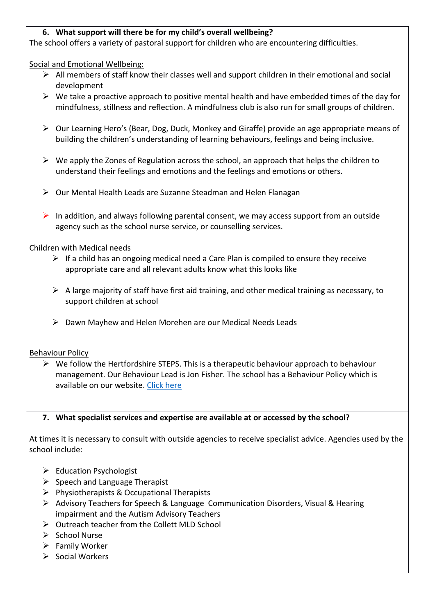### **6. What support will there be for my child's overall wellbeing?**

The school offers a variety of pastoral support for children who are encountering difficulties.

Social and Emotional Wellbeing:

- $\triangleright$  All members of staff know their classes well and support children in their emotional and social development
- $\triangleright$  We take a proactive approach to positive mental health and have embedded times of the day for mindfulness, stillness and reflection. A mindfulness club is also run for small groups of children.
- $\triangleright$  Our Learning Hero's (Bear, Dog, Duck, Monkey and Giraffe) provide an age appropriate means of building the children's understanding of learning behaviours, feelings and being inclusive.
- $\triangleright$  We apply the Zones of Regulation across the school, an approach that helps the children to understand their feelings and emotions and the feelings and emotions or others.
- $\triangleright$  Our Mental Health Leads are Suzanne Steadman and Helen Flanagan
- In addition, and always following parental consent, we may access support from an outside agency such as the school nurse service, or counselling services.

#### Children with Medical needs

- $\triangleright$  If a child has an ongoing medical need a Care Plan is compiled to ensure they receive appropriate care and all relevant adults know what this looks like
- $\triangleright$  A large majority of staff have first aid training, and other medical training as necessary, to support children at school
- Dawn Mayhew and Helen Morehen are our Medical Needs Leads

#### Behaviour Policy

 $\triangleright$  We follow the Hertfordshire STEPS. This is a therapeutic behaviour approach to behaviour management. Our Behaviour Lead is Jon Fisher. The school has a Behaviour Policy which is available on our website. [Click here](https://bernardsheath.herts.sch.uk/wp-content/uploads/2021/10/BHIS-Behaviour-Policy-April-2021.pdf)

### **7. What specialist services and expertise are available at or accessed by the school?**

At times it is necessary to consult with outside agencies to receive specialist advice. Agencies used by the school include:

- $\triangleright$  Education Psychologist
- $\triangleright$  Speech and Language Therapist
- $\triangleright$  Physiotherapists & Occupational Therapists
- Advisory Teachers for Speech & Language Communication Disorders, Visual & Hearing impairment and the Autism Advisory Teachers
- $\triangleright$  Outreach teacher from the Collett MLD School
- $\triangleright$  School Nurse
- $\triangleright$  Family Worker
- $\triangleright$  Social Workers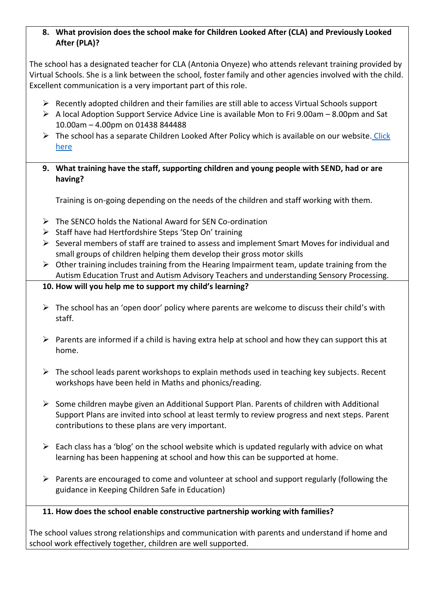### **8. What provision does the school make for Children Looked After (CLA) and Previously Looked After (PLA)?**

The school has a designated teacher for CLA (Antonia Onyeze) who attends relevant training provided by Virtual Schools. She is a link between the school, foster family and other agencies involved with the child. Excellent communication is a very important part of this role.

- $\triangleright$  Recently adopted children and their families are still able to access Virtual Schools support
- $\triangleright$  A local Adoption Support Service Advice Line is available Mon to Fri 9.00am 8.00pm and Sat 10.00am – 4.00pm on 01438 844488
- $\triangleright$  The school has a separate Children Looked After Policy which is available on our website. Click [here](https://bernardsheath.herts.sch.uk/wp-content/uploads/2021/11/BHIS-Children-Looked-After-and-Previously-Looked-After-Policy-June-2021.pdf)
- **9. What training have the staff, supporting children and young people with SEND, had or are having?**

Training is on-going depending on the needs of the children and staff working with them.

- $\triangleright$  The SENCO holds the National Award for SEN Co-ordination
- $\triangleright$  Staff have had Hertfordshire Steps 'Step On' training
- $\triangleright$  Several members of staff are trained to assess and implement Smart Moves for individual and small groups of children helping them develop their gross motor skills
- $\triangleright$  Other training includes training from the Hearing Impairment team, update training from the Autism Education Trust and Autism Advisory Teachers and understanding Sensory Processing.
- **10. How will you help me to support my child's learning?**
- $\triangleright$  The school has an 'open door' policy where parents are welcome to discuss their child's with staff.
- $\triangleright$  Parents are informed if a child is having extra help at school and how they can support this at home.
- $\triangleright$  The school leads parent workshops to explain methods used in teaching key subjects. Recent workshops have been held in Maths and phonics/reading.
- $\triangleright$  Some children maybe given an Additional Support Plan. Parents of children with Additional Support Plans are invited into school at least termly to review progress and next steps. Parent contributions to these plans are very important.
- $\triangleright$  Each class has a 'blog' on the school website which is updated regularly with advice on what learning has been happening at school and how this can be supported at home.
- $\triangleright$  Parents are encouraged to come and volunteer at school and support regularly (following the guidance in Keeping Children Safe in Education)
- **11. How does the school enable constructive partnership working with families?**

The school values strong relationships and communication with parents and understand if home and school work effectively together, children are well supported.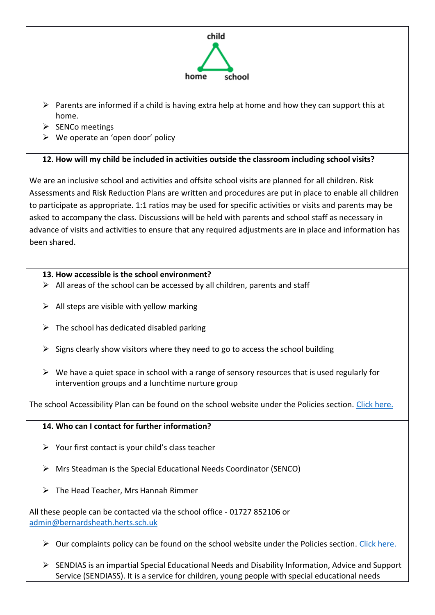

- $\triangleright$  Parents are informed if a child is having extra help at home and how they can support this at home.
- $\triangleright$  SENCo meetings
- $\triangleright$  We operate an 'open door' policy

# **12. How will my child be included in activities outside the classroom including school visits?**

We are an inclusive school and activities and offsite school visits are planned for all children. Risk Assessments and Risk Reduction Plans are written and procedures are put in place to enable all children to participate as appropriate. 1:1 ratios may be used for specific activities or visits and parents may be asked to accompany the class. Discussions will be held with parents and school staff as necessary in advance of visits and activities to ensure that any required adjustments are in place and information has been shared.

# **13. How accessible is the school environment?**

- $\triangleright$  All areas of the school can be accessed by all children, parents and staff
- $\triangleright$  All steps are visible with yellow marking
- $\triangleright$  The school has dedicated disabled parking
- $\triangleright$  Signs clearly show visitors where they need to go to access the school building
- $\triangleright$  We have a quiet space in school with a range of sensory resources that is used regularly for intervention groups and a lunchtime nurture group

The school Accessibility Plan can be found on the school website under the Policies section. [Click here.](https://bernardsheath.herts.sch.uk/wp-content/uploads/2021/12/BHIS-School-Access-Plan-Oct-20.pdf)

# **14. Who can I contact for further information?**

- $\triangleright$  Your first contact is your child's class teacher
- $\triangleright$  Mrs Steadman is the Special Educational Needs Coordinator (SENCO)
- $\triangleright$  The Head Teacher, Mrs Hannah Rimmer

All these people can be contacted via the school office - 01727 852106 or [admin@bernardsheath.herts.sch.uk](mailto:admin@bernardsheath.herts.sch.uk)

- $\triangleright$  Our complaints policy can be found on the school website under the Policies section. [Click here.](https://bernardsheath.herts.sch.uk/wp-content/uploads/2021/11/Complaints-Policy-including-Complaint-Form-January-2020.pdf)
- $\triangleright$  SENDIAS is an impartial Special Educational Needs and Disability Information, Advice and Support Service (SENDIASS). It is a service for children, young people with special educational needs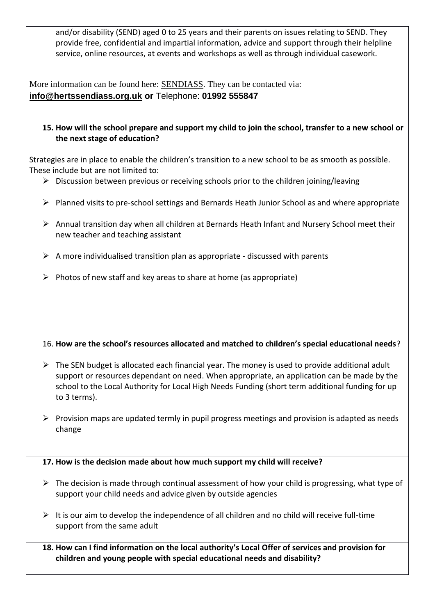and/or disability (SEND) aged 0 to 25 years and their parents on issues relating to SEND. They provide free, confidential and impartial information, advice and support through their helpline service, online resources, at events and workshops as well as through individual casework.

More information can be found here: [SENDIASS.](file:///C:/Users/ss/Downloads/SENDIASS) They can be contacted via: **[info@hertssendiass.org.uk](mailto:info@hertssendiass.org.uk) or** Telephone: **01992 555847**

### **15. How will the school prepare and support my child to join the school, transfer to a new school or the next stage of education?**

Strategies are in place to enable the children's transition to a new school to be as smooth as possible. These include but are not limited to:

- $\triangleright$  Discussion between previous or receiving schools prior to the children joining/leaving
- $\triangleright$  Planned visits to pre-school settings and Bernards Heath Junior School as and where appropriate
- $\triangleright$  Annual transition day when all children at Bernards Heath Infant and Nursery School meet their new teacher and teaching assistant
- $\triangleright$  A more individualised transition plan as appropriate discussed with parents
- $\triangleright$  Photos of new staff and key areas to share at home (as appropriate)

### 16. **How are the school's resources allocated and matched to children's special educational needs**?

- $\triangleright$  The SEN budget is allocated each financial year. The money is used to provide additional adult support or resources dependant on need. When appropriate, an application can be made by the school to the Local Authority for Local High Needs Funding (short term additional funding for up to 3 terms).
- $\triangleright$  Provision maps are updated termly in pupil progress meetings and provision is adapted as needs change

**17. How is the decision made about how much support my child will receive?**

- $\triangleright$  The decision is made through continual assessment of how your child is progressing, what type of support your child needs and advice given by outside agencies
- $\triangleright$  It is our aim to develop the independence of all children and no child will receive full-time support from the same adult
- **18. How can I find information on the local authority's Local Offer of services and provision for children and young people with special educational needs and disability?**